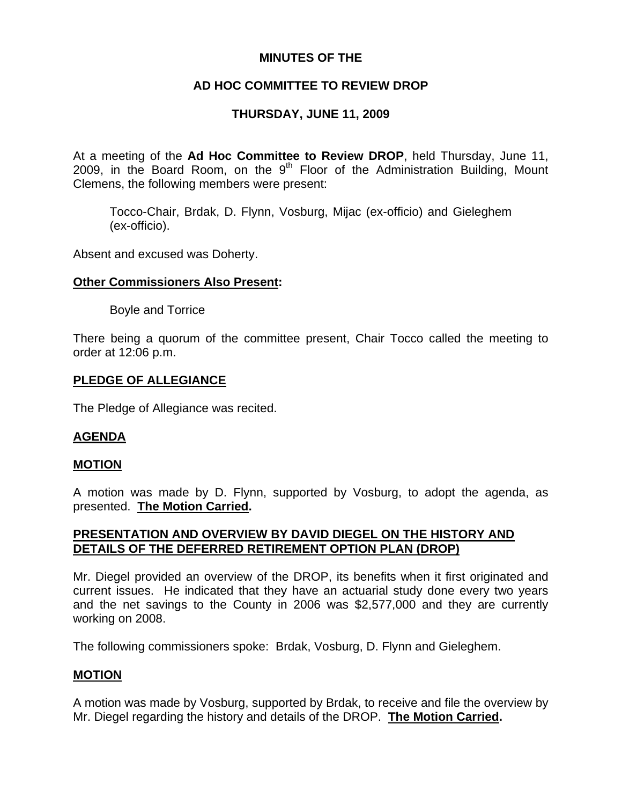## **MINUTES OF THE**

# **AD HOC COMMITTEE TO REVIEW DROP**

# **THURSDAY, JUNE 11, 2009**

At a meeting of the **Ad Hoc Committee to Review DROP**, held Thursday, June 11, 2009, in the Board Room, on the  $9<sup>th</sup>$  Floor of the Administration Building, Mount Clemens, the following members were present:

Tocco-Chair, Brdak, D. Flynn, Vosburg, Mijac (ex-officio) and Gieleghem (ex-officio).

Absent and excused was Doherty.

### **Other Commissioners Also Present:**

Boyle and Torrice

There being a quorum of the committee present, Chair Tocco called the meeting to order at 12:06 p.m.

## **PLEDGE OF ALLEGIANCE**

The Pledge of Allegiance was recited.

### **AGENDA**

### **MOTION**

A motion was made by D. Flynn, supported by Vosburg, to adopt the agenda, as presented. **The Motion Carried.** 

## **PRESENTATION AND OVERVIEW BY DAVID DIEGEL ON THE HISTORY AND DETAILS OF THE DEFERRED RETIREMENT OPTION PLAN (DROP)**

Mr. Diegel provided an overview of the DROP, its benefits when it first originated and current issues. He indicated that they have an actuarial study done every two years and the net savings to the County in 2006 was \$2,577,000 and they are currently working on 2008.

The following commissioners spoke: Brdak, Vosburg, D. Flynn and Gieleghem.

## **MOTION**

A motion was made by Vosburg, supported by Brdak, to receive and file the overview by Mr. Diegel regarding the history and details of the DROP. **The Motion Carried.**